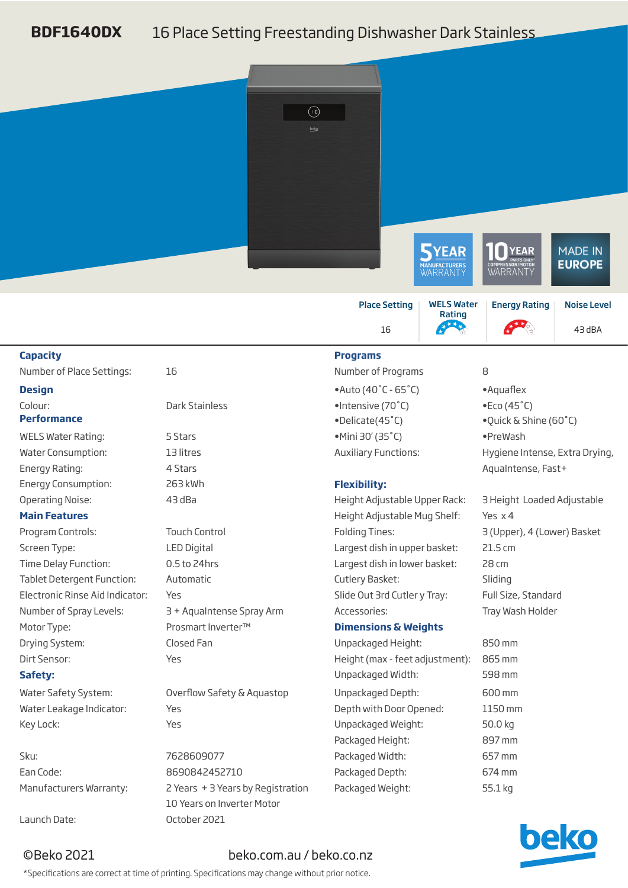## **BDF1640DX** 16 Place Setting Freestanding Dishwasher Dark Stainless



## ©Beko 2021 beko.com.au / beko.co.nz

\*Specifications are correct at time of printing. Specifications may change without prior notice.